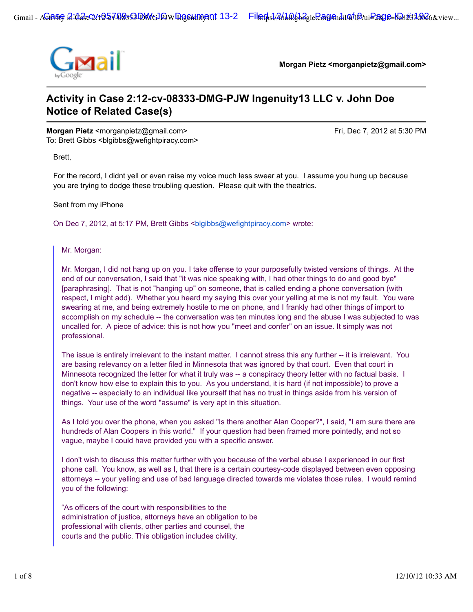

**Morgan Pietz <morganpietz@gmail.com>**

# **Activity in Case 2:12-cv-08333-DMG-PJW Ingenuity13 LLC v. John Doe Notice of Related Case(s)**

**Morgan Pietz** <morganpietz@gmail.com> Fri, Dec 7, 2012 at 5:30 PM To: Brett Gibbs <br/>blgibbs@wefightpiracy.com>

Brett,

For the record, I didnt yell or even raise my voice much less swear at you. I assume you hung up because you are trying to dodge these troubling question. Please quit with the theatrics.

Sent from my iPhone

On Dec 7, 2012, at 5:17 PM, Brett Gibbs <blgibbs@wefightpiracy.com> wrote:

Mr. Morgan:

Mr. Morgan, I did not hang up on you. I take offense to your purposefully twisted versions of things. At the end of our conversation, I said that "it was nice speaking with, I had other things to do and good bye" [paraphrasing]. That is not "hanging up" on someone, that is called ending a phone conversation (with respect, I might add). Whether you heard my saying this over your yelling at me is not my fault. You were swearing at me, and being extremely hostile to me on phone, and I frankly had other things of import to accomplish on my schedule -- the conversation was ten minutes long and the abuse I was subjected to was uncalled for. A piece of advice: this is not how you "meet and confer" on an issue. It simply was not professional.

The issue is entirely irrelevant to the instant matter. I cannot stress this any further -- it is irrelevant. You are basing relevancy on a letter filed in Minnesota that was ignored by that court. Even that court in Minnesota recognized the letter for what it truly was -- a conspiracy theory letter with no factual basis. I don't know how else to explain this to you. As you understand, it is hard (if not impossible) to prove a negative -- especially to an individual like yourself that has no trust in things aside from his version of things. Your use of the word "assume" is very apt in this situation.

As I told you over the phone, when you asked "Is there another Alan Cooper?", I said, "I am sure there are hundreds of Alan Coopers in this world." If your question had been framed more pointedly, and not so vague, maybe I could have provided you with a specific answer.

I don't wish to discuss this matter further with you because of the verbal abuse I experienced in our first phone call. You know, as well as I, that there is a certain courtesy-code displayed between even opposing attorneys -- your yelling and use of bad language directed towards me violates those rules. I would remind you of the following:

"As officers of the court with responsibilities to the administration of justice, attorneys have an obligation to be professional with clients, other parties and counsel, the courts and the public. This obligation includes civility,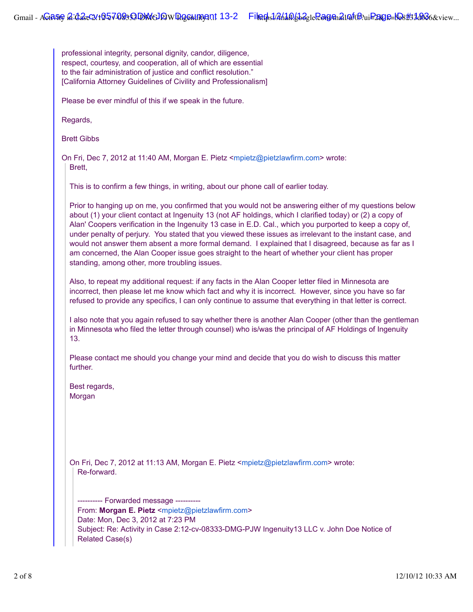professional integrity, personal dignity, candor, diligence, respect, courtesy, and cooperation, all of which are essential to the fair administration of justice and conflict resolution." [California Attorney Guidelines of Civility and Professionalism]

Please be ever mindful of this if we speak in the future.

Regards,

Brett Gibbs

On Fri, Dec 7, 2012 at 11:40 AM, Morgan E. Pietz <mpietz@pietzlawfirm.com> wrote: Brett,

This is to confirm a few things, in writing, about our phone call of earlier today.

Prior to hanging up on me, you confirmed that you would not be answering either of my questions below about (1) your client contact at Ingenuity 13 (not AF holdings, which I clarified today) or (2) a copy of Alan' Coopers verification in the Ingenuity 13 case in E.D. Cal., which you purported to keep a copy of, under penalty of perjury. You stated that you viewed these issues as irrelevant to the instant case, and would not answer them absent a more formal demand. I explained that I disagreed, because as far as I am concerned, the Alan Cooper issue goes straight to the heart of whether your client has proper standing, among other, more troubling issues.

Also, to repeat my additional request: if any facts in the Alan Cooper letter filed in Minnesota are incorrect, then please let me know which fact and why it is incorrect. However, since you have so far refused to provide any specifics, I can only continue to assume that everything in that letter is correct.

I also note that you again refused to say whether there is another Alan Cooper (other than the gentleman in Minnesota who filed the letter through counsel) who is/was the principal of AF Holdings of Ingenuity 13.

Please contact me should you change your mind and decide that you do wish to discuss this matter further.

Best regards, Morgan

On Fri, Dec 7, 2012 at 11:13 AM, Morgan E. Pietz <mpietz@pietzlawfirm.com> wrote: Re-forward.

---------- Forwarded message ---------- From: **Morgan E. Pietz** <mpietz@pietzlawfirm.com> Date: Mon, Dec 3, 2012 at 7:23 PM Subject: Re: Activity in Case 2:12-cv-08333-DMG-PJW Ingenuity13 LLC v. John Doe Notice of Related Case(s)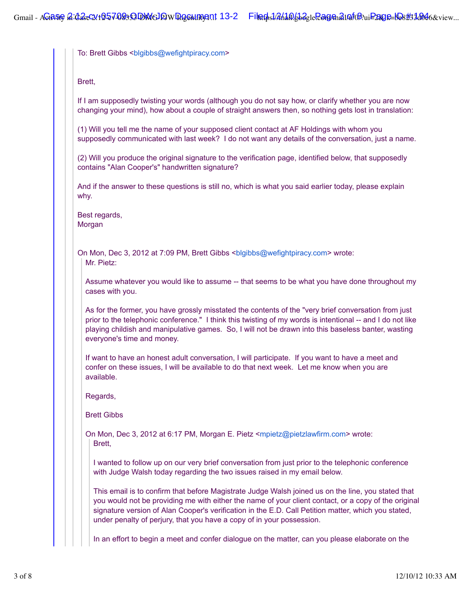To: Brett Gibbs <br/>blgibbs@wefightpiracy.com>

Brett,

If I am supposedly twisting your words (although you do not say how, or clarify whether you are now changing your mind), how about a couple of straight answers then, so nothing gets lost in translation:

(1) Will you tell me the name of your supposed client contact at AF Holdings with whom you supposedly communicated with last week? I do not want any details of the conversation, just a name.

(2) Will you produce the original signature to the verification page, identified below, that supposedly contains "Alan Cooper's" handwritten signature?

And if the answer to these questions is still no, which is what you said earlier today, please explain why.

Best regards, Morgan

On Mon, Dec 3, 2012 at 7:09 PM, Brett Gibbs <blgibbs@wefightpiracy.com> wrote: Mr. Pietz:

Assume whatever you would like to assume -- that seems to be what you have done throughout my cases with you.

As for the former, you have grossly misstated the contents of the "very brief conversation from just prior to the telephonic conference." I think this twisting of my words is intentional -- and I do not like playing childish and manipulative games. So, I will not be drawn into this baseless banter, wasting everyone's time and money.

If want to have an honest adult conversation, I will participate. If you want to have a meet and confer on these issues, I will be available to do that next week. Let me know when you are available.

Regards,

Brett Gibbs

On Mon, Dec 3, 2012 at 6:17 PM, Morgan E. Pietz <mpietz@pietzlawfirm.com> wrote: Brett,

I wanted to follow up on our very brief conversation from just prior to the telephonic conference with Judge Walsh today regarding the two issues raised in my email below.

This email is to confirm that before Magistrate Judge Walsh joined us on the line, you stated that you would not be providing me with either the name of your client contact, or a copy of the original signature version of Alan Cooper's verification in the E.D. Call Petition matter, which you stated, under penalty of perjury, that you have a copy of in your possession.

In an effort to begin a meet and confer dialogue on the matter, can you please elaborate on the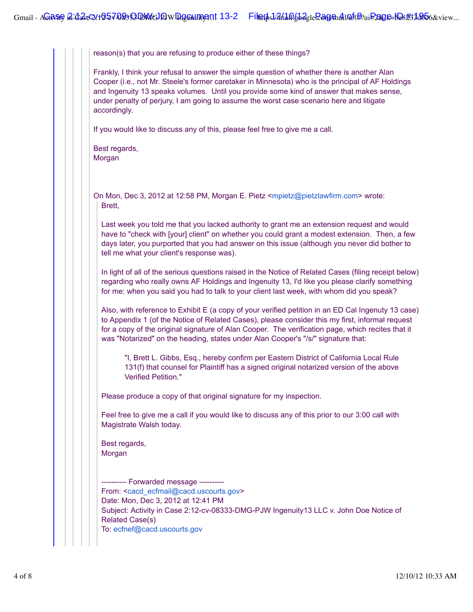reason(s) that you are refusing to produce either of these things?

Frankly, I think your refusal to answer the simple question of whether there is another Alan Cooper (i.e., not Mr. Steele's former caretaker in Minnesota) who is the principal of AF Holdings and Ingenuity 13 speaks volumes. Until you provide some kind of answer that makes sense, under penalty of perjury, I am going to assume the worst case scenario here and litigate accordingly.

If you would like to discuss any of this, please feel free to give me a call.

Best regards, Morgan

On Mon, Dec 3, 2012 at 12:58 PM, Morgan E. Pietz <mpietz@pietzlawfirm.com> wrote: Brett,

Last week you told me that you lacked authority to grant me an extension request and would have to "check with [your] client" on whether you could grant a modest extension. Then, a few days later, you purported that you had answer on this issue (although you never did bother to tell me what your client's response was).

In light of all of the serious questions raised in the Notice of Related Cases (filing receipt below) regarding who really owns AF Holdings and Ingenuity 13, I'd like you please clarify something for me: when you said you had to talk to your client last week, with whom did you speak?

Also, with reference to Exhibit E (a copy of your verified petition in an ED Cal Ingenuty 13 case) to Appendix 1 (of the Notice of Related Cases), please consider this my first, informal request for a copy of the original signature of Alan Cooper. The verification page, which recites that it was "Notarized" on the heading, states under Alan Cooper's "/s/" signature that:

"I, Brett L. Gibbs, Esq., hereby confirm per Eastern District of California Local Rule 131(f) that counsel for Plaintiff has a signed original notarized version of the above Verified Petition."

Please produce a copy of that original signature for my inspection.

Feel free to give me a call if you would like to discuss any of this prior to our 3:00 call with Magistrate Walsh today.

Best regards, Morgan

---------- Forwarded message ---------- From: <cacd\_ecfmail@cacd.uscourts.gov> Date: Mon, Dec 3, 2012 at 12:41 PM Subject: Activity in Case 2:12-cv-08333-DMG-PJW Ingenuity13 LLC v. John Doe Notice of Related Case(s) To: ecfnef@cacd.uscourts.gov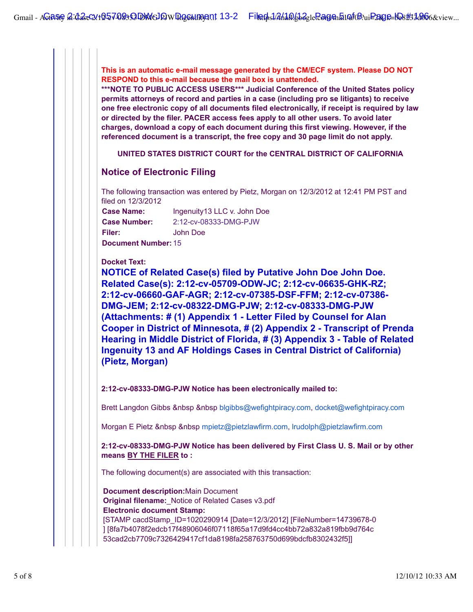**This is an automatic e-mail message generated by the CM/ECF system. Please DO NOT RESPOND to this e-mail because the mail box is unattended.**

**\*\*\*NOTE TO PUBLIC ACCESS USERS\*\*\* Judicial Conference of the United States policy permits attorneys of record and parties in a case (including pro se litigants) to receive one free electronic copy of all documents filed electronically, if receipt is required by law or directed by the filer. PACER access fees apply to all other users. To avoid later charges, download a copy of each document during this first viewing. However, if the referenced document is a transcript, the free copy and 30 page limit do not apply.**

**UNITED STATES DISTRICT COURT for the CENTRAL DISTRICT OF CALIFORNIA**

## **Notice of Electronic Filing**

The following transaction was entered by Pietz, Morgan on 12/3/2012 at 12:41 PM PST and filed on 12/3/2012

**Case Name:** Ingenuity13 LLC v. John Doe **Case Number:** 2:12-cv-08333-DMG-PJW **Filer:** John Doe **Document Number:** 15

**Docket Text:**

**NOTICE of Related Case(s) filed by Putative John Doe John Doe. Related Case(s): 2:12-cv-05709-ODW-JC; 2:12-cv-06635-GHK-RZ; 2:12-cv-06660-GAF-AGR; 2:12-cv-07385-DSF-FFM; 2:12-cv-07386- DMG-JEM; 2:12-cv-08322-DMG-PJW; 2:12-cv-08333-DMG-PJW (Attachments: # (1) Appendix 1 - Letter Filed by Counsel for Alan Cooper in District of Minnesota, # (2) Appendix 2 - Transcript of Prenda Hearing in Middle District of Florida, # (3) Appendix 3 - Table of Related Ingenuity 13 and AF Holdings Cases in Central District of California) (Pietz, Morgan)**

**2:12-cv-08333-DMG-PJW Notice has been electronically mailed to:**

Brett Langdon Gibbs &nbsp &nbsp blgibbs@wefightpiracy.com, docket@wefightpiracy.com

Morgan E Pietz &nbsp &nbsp mpietz@pietzlawfirm.com, lrudolph@pietzlawfirm.com

**2:12-cv-08333-DMG-PJW Notice has been delivered by First Class U. S. Mail or by other means BY THE FILER to :**

The following document(s) are associated with this transaction:

**Document description:**Main Document **Original filename:**\_Notice of Related Cases v3.pdf **Electronic document Stamp:** [STAMP cacdStamp\_ID=1020290914 [Date=12/3/2012] [FileNumber=14739678-0 ] [8fa7b4078f2edcb17f48906046f07118f65a17d9fd4cc4bb72a832a819fbb9d764c 53cad2cb7709c7326429417cf1da8198fa258763750d699bdcfb8302432f5]]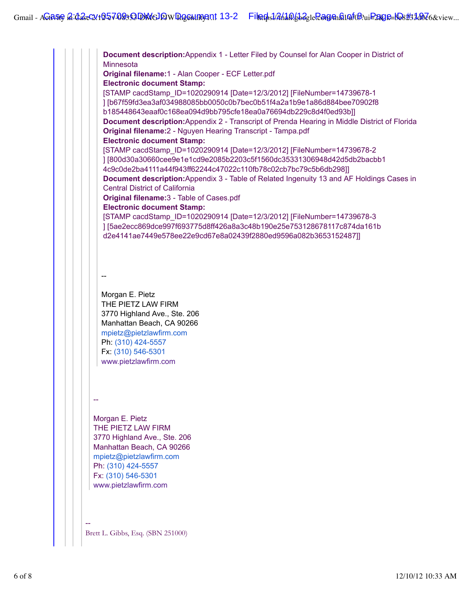**Document description:**Appendix 1 - Letter Filed by Counsel for Alan Cooper in District of **Minnesota Original filename:**1 - Alan Cooper - ECF Letter.pdf **Electronic document Stamp:** [STAMP cacdStamp\_ID=1020290914 [Date=12/3/2012] [FileNumber=14739678-1 ] [b67f59fd3ea3af034988085bb0050c0b7bec0b51f4a2a1b9e1a86d884bee70902f8 b185448643eaaf0c168ea094d9bb795cfe18ea0a76694db229c8d4f0ed93b]] **Document description:**Appendix 2 - Transcript of Prenda Hearing in Middle District of Florida **Original filename:**2 - Nguyen Hearing Transcript - Tampa.pdf **Electronic document Stamp:** [STAMP cacdStamp\_ID=1020290914 [Date=12/3/2012] [FileNumber=14739678-2 ] [800d30a30660cee9e1e1cd9e2085b2203c5f1560dc35331306948d42d5db2bacbb1 4c9c0de2ba4111a44f943ff62244c47022c110fb78c02cb7bc79c5b6db298]] **Document description:**Appendix 3 - Table of Related Ingenuity 13 and AF Holdings Cases in Central District of California **Original filename:**3 - Table of Cases.pdf **Electronic document Stamp:** [STAMP cacdStamp\_ID=1020290914 [Date=12/3/2012] [FileNumber=14739678-3 ] [5ae2ecc869dce997f693775d8ff426a8a3c48b190e25e753128678117c874da161b d2e4141ae7449e578ee22e9cd67e8a02439f2880ed9596a082b3653152487]] -- Morgan E. Pietz THE PIETZ LAW FIRM 3770 Highland Ave., Ste. 206 Manhattan Beach, CA 90266 mpietz@pietzlawfirm.com Ph: (310) 424-5557 Fx: (310) 546-5301 www.pietzlawfirm.com -- Morgan E. Pietz THE PIETZ LAW FIRM 3770 Highland Ave., Ste. 206 Manhattan Beach, CA 90266 mpietz@pietzlawfirm.com Ph: (310) 424-5557 Fx: (310) 546-5301 www.pietzlawfirm.com -- Brett L. Gibbs, Esq. (SBN 251000)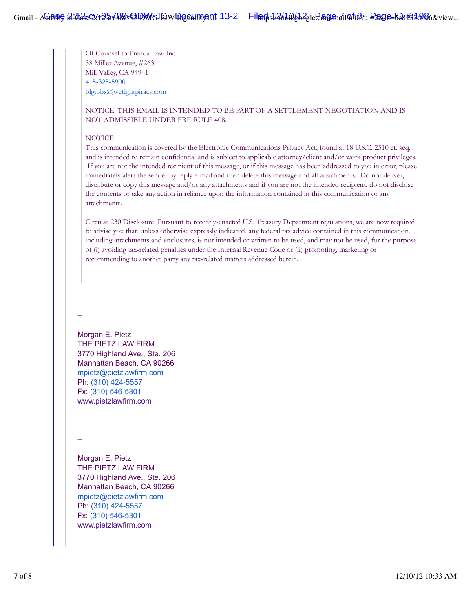Of Counsel to Prenda Law Inc. 38 Miller Avenue, #263 Mill Valley, CA 94941 415-325-5900 blgibbs@wefightpiracy.com

## NOTICE: THIS EMAIL IS INTENDED TO BE PART OF A SETTLEMENT NEGOTIATION AND IS NOT ADMISSIBLE UNDER FRE RULE 408.

#### NOTICE:

This communication is covered by the Electronic Communications Privacy Act, found at 18 U.S.C. 2510 et. seq. and is intended to remain confidential and is subject to applicable attorney/client and/or work product privileges. If you are not the intended recipient of this message, or if this message has been addressed to you in error, please immediately alert the sender by reply e-mail and then delete this message and all attachments. Do not deliver, distribute or copy this message and/or any attachments and if you are not the intended recipient, do not disclose the contents or take any action in reliance upon the information contained in this communication or any attachments.

Circular 230 Disclosure: Pursuant to recently-enacted U.S. Treasury Department regulations, we are now required to advise you that, unless otherwise expressly indicated, any federal tax advice contained in this communication, including attachments and enclosures, is not intended or written to be used, and may not be used, for the purpose of (i) avoiding tax-related penalties under the Internal Revenue Code or (ii) promoting, marketing or recommending to another party any tax-related matters addressed herein.

### --

Morgan E. Pietz THE PIETZ LAW FIRM 3770 Highland Ave., Ste. 206 Manhattan Beach, CA 90266 mpietz@pietzlawfirm.com Ph: (310) 424-5557 Fx: (310) 546-5301 www.pietzlawfirm.com

--

Morgan E. Pietz THE PIETZ LAW FIRM 3770 Highland Ave., Ste. 206 Manhattan Beach, CA 90266 mpietz@pietzlawfirm.com Ph: (310) 424-5557 Fx: (310) 546-5301 www.pietzlawfirm.com